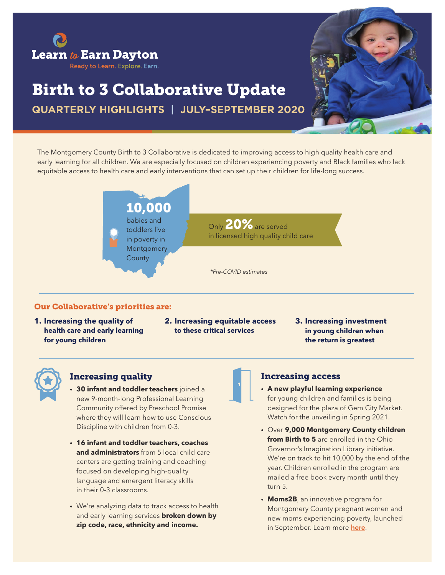

# Birth to 3 Collaborative Update

**QUARTERLY HIGHLIGHTS | JULY–SEPTEMBER 2020**

The Montgomery County Birth to 3 Collaborative is dedicated to improving access to high quality health care and early learning for all children. We are especially focused on children experiencing poverty and Black families who lack equitable access to health care and early interventions that can set up their children for life-long success.



#### Our Collaborative's priorities are:

- **1. Increasing the quality of health care and early learning for young children**
- **2. Increasing equitable access to these critical services**
- **3. Increasing investment in young children when the return is greatest**



## Increasing quality

- **• 30 infant and toddler teachers** joined a new 9-month-long Professional Learning Community offered by Preschool Promise where they will learn how to use Conscious Discipline with children from 0-3.
- **• 16 infant and toddler teachers, coaches and administrators** from 5 local child care centers are getting training and coaching focused on developing high-quality language and emergent literacy skills in their 0-3 classrooms.
- We're analyzing data to track access to health and early learning services **broken down by zip code, race, ethnicity and income.**

## Increasing access

- **• A new playful learning experience** for young children and families is being designed for the plaza of Gem City Market. Watch for the unveiling in Spring 2021.
- Over **9,000 Montgomery County children from Birth to 5** are enrolled in the Ohio Governor's Imagination Library initiative. We're on track to hit 10,000 by the end of the year. Children enrolled in the program are mailed a free book every month until they turn 5.
- **• Moms2B**, an innovative program for Montgomery County pregnant women and new moms experiencing poverty, launched in September. Learn more here.